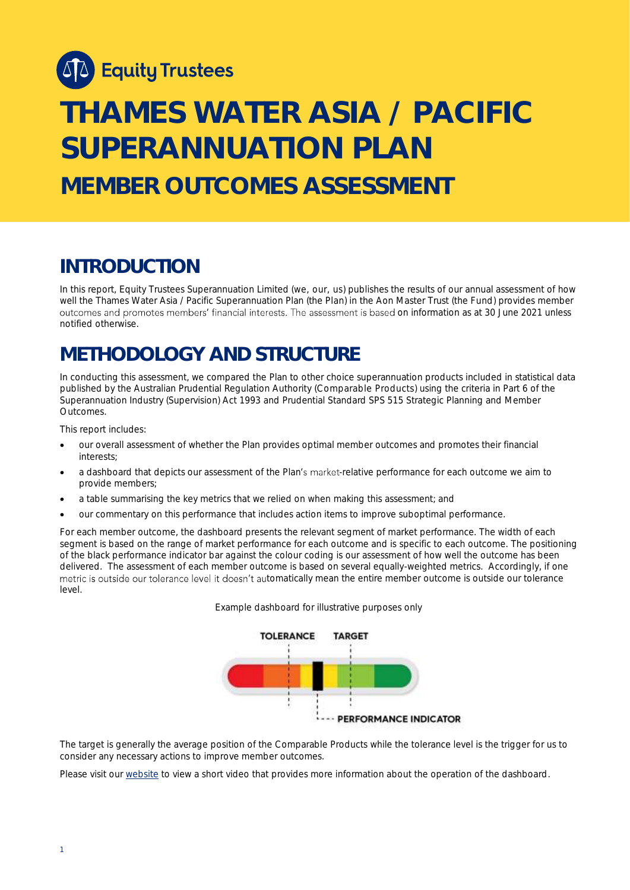

# **THAMES WATER ASIA / PACIFIC SUPERANNUATION PLAN MEMBER OUTCOMES ASSESSMENT**

### **INTRODUCTION**

In this report, Equity Trustees Superannuation Limited (we, our, us) publishes the results of our annual assessment of how well the Thames Water Asia / Pacific Superannuation Plan (the Plan) in the Aon Master Trust (the Fund) provides member outcomes and promotes members' financial interests. The assessment is based on information as at 30 June 2021 unless notified otherwise.

# **METHODOLOGY AND STRUCTURE**

In conducting this assessment, we compared the Plan to other choice superannuation products included in statistical data published by the Australian Prudential Regulation Authority (Comparable Products) using the criteria in Part 6 of the *Superannuation Industry (Supervision) Act 1993* and Prudential Standard SPS 515 *Strategic Planning and Member Outcomes*.

This report includes:

- our overall assessment of whether the Plan provides optimal member outcomes and promotes their financial interests;
- a dashboard that depicts our assessment of the Plan's market-relative performance for each outcome we aim to provide members;
- a table summarising the key metrics that we relied on when making this assessment; and
- our commentary on this performance that includes action items to improve suboptimal performance.

For each member outcome, the dashboard presents the relevant segment of market performance. The width of each segment is based on the range of market performance for each outcome and is specific to each outcome. The positioning of the black performance indicator bar against the colour coding is our assessment of how well the outcome has been delivered. The assessment of each member outcome is based on several equally-weighted metrics. Accordingly, if one metric is outside our tolerance level it doesn't automatically mean the entire member outcome is outside our tolerance level.





The target is generally the average position of the Comparable Products while the tolerance level is the trigger for us to consider any necessary actions to improve member outcomes.

Please visit our [website](https://www.eqt.com.au/superannuation) to view a short video that provides more information about the operation of the dashboard.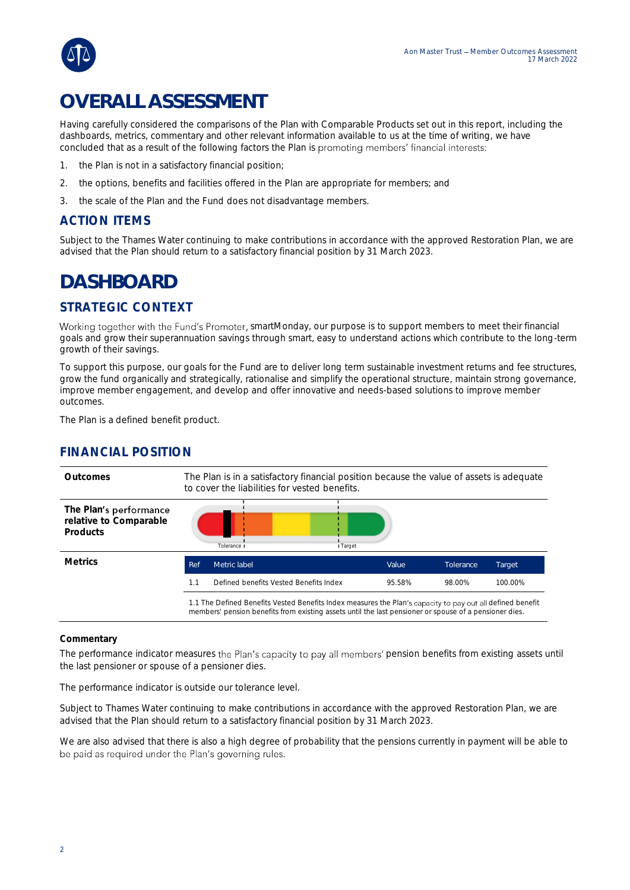

# **OVERALL ASSESSMENT**

Having carefully considered the comparisons of the Plan with Comparable Products set out in this report, including the dashboards, metrics, commentary and other relevant information available to us at the time of writing, we have concluded that as a result of the following factors the Plan is promoting members' financial interests:

- 1. the Plan is not in a satisfactory financial position;
- 2. the options, benefits and facilities offered in the Plan are appropriate for members; and
- 3. the scale of the Plan and the Fund does not disadvantage members.

### ACTION ITEMS

Subject to the Thames Water continuing to make contributions in accordance with the approved Restoration Plan, we are advised that the Plan should return to a satisfactory financial position by 31 March 2023.

## **DASHBOARD**

### STRATEGIC CONTEXT

Working together with the Fund's Promoter, smartMonday, our purpose is to support members to meet their financial goals and grow their superannuation savings through smart, easy to understand actions which contribute to the long-term growth of their savings.

To support this purpose, our goals for the Fund are to deliver long term sustainable investment returns and fee structures, grow the fund organically and strategically, rationalise and simplify the operational structure, maintain strong governance, improve member engagement, and develop and offer innovative and needs-based solutions to improve member outcomes.

The Plan is a defined benefit product.

### FINANCIAL POSITION



#### **Commentary**

The performance indicator measures the Plan's capacity to pay all members' pension benefits from existing assets until the last pensioner or spouse of a pensioner dies.

The performance indicator is outside our tolerance level.

Subject to Thames Water continuing to make contributions in accordance with the approved Restoration Plan, we are advised that the Plan should return to a satisfactory financial position by 31 March 2023.

We are also advised that there is also a high degree of probability that the pensions currently in payment will be able to be paid as required under the Plan's governing rules.